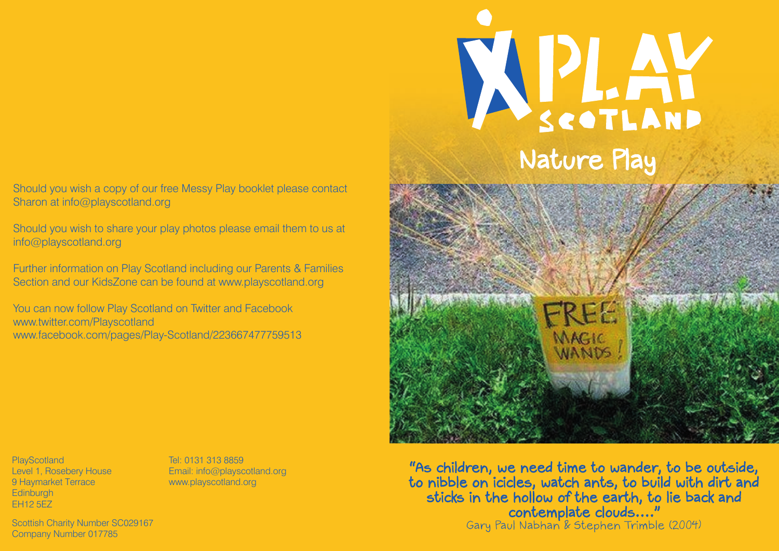#### Should you wish a copy of our free Messy Play booklet please contact Sharon at info@playscotland.org

Should you wish to share your play photos please email them to us at info@playscotland.org

Further information on Play Scotland including our Parents & Families Section and our KidsZone can be found at www.playscotland.org

You can now follow Play Scotland on Twitter and Facebook www.twitter.com/Playscotland www.facebook.com/pages/Play-Scotland/223667477759513

**PlayScotland** Level 1, Rosebery House 9 Haymarket Terrace **Edinburgh** EH12 5EZ

Tel: 0131 313 8859 Email: info@playscotland.org www.playscotland.org

Scottish Charity Number SC029167 Company Number 017785

APLAY Nature Play



"As children, we need time to wander, to be outside, to nibble on icicles, watch ants, to build with dirt and sticks in the hollow of the earth, to lie back and contemplate clouds...." Gary Paul Nabhan & Stephen Trimble (2004)